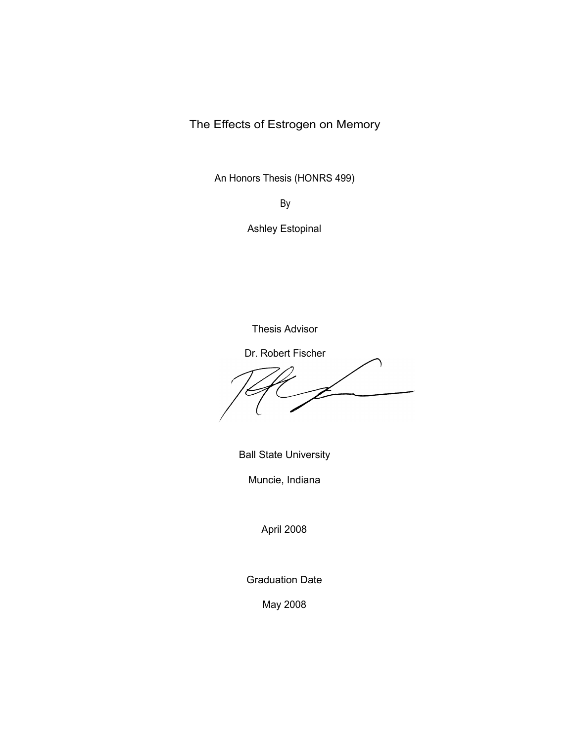The Effects of Estrogen on Memory

An Honors Thesis (HONRS 499)

By

Ashley Estopinal

Thesis Advisor

Dr. Robert Fischer

Ball State University

Muncie, Indiana

April 2008

Graduation Date

May 2008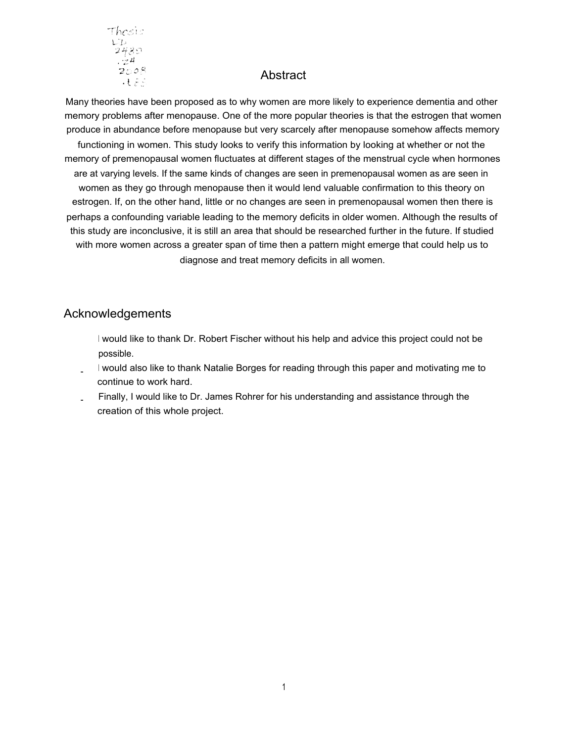

## **Abstract**

Many theories have been proposed as to why women are more likely to experience dementia and other memory problems after menopause. One of the more popular theories is that the estrogen that women produce in abundance before menopause but very scarcely after menopause somehow affects memory functioning in women. This study looks to verify this information by looking at whether or not the memory of premenopausal women fluctuates at different stages of the menstrual cycle when hormones are at varying levels. If the same kinds of changes are seen in premenopausal women as are seen in women as they go through menopause then it would lend valuable confirmation to this theory on estrogen. If, on the other hand, little or no changes are seen in premenopausal women then there is perhaps a confounding variable leading to the memory deficits in older women. Although the results of this study are inconclusive, it is still an area that should be researched further in the future. If studied with more women across a greater span of time then a pattern might emerge that could help us to diagnose and treat memory deficits in all women.

# Acknowledgements

- <sup>I</sup> would like to thank Dr. Robert Fischer without his help and advice this project could not be possible.
- <sup>I</sup> would also like to thank Natalie Borges for reading through this paper and motivating me to continue to work hard.
- Finally, I would like to Dr. James Rohrer for his understanding and assistance through the creation of this whole project.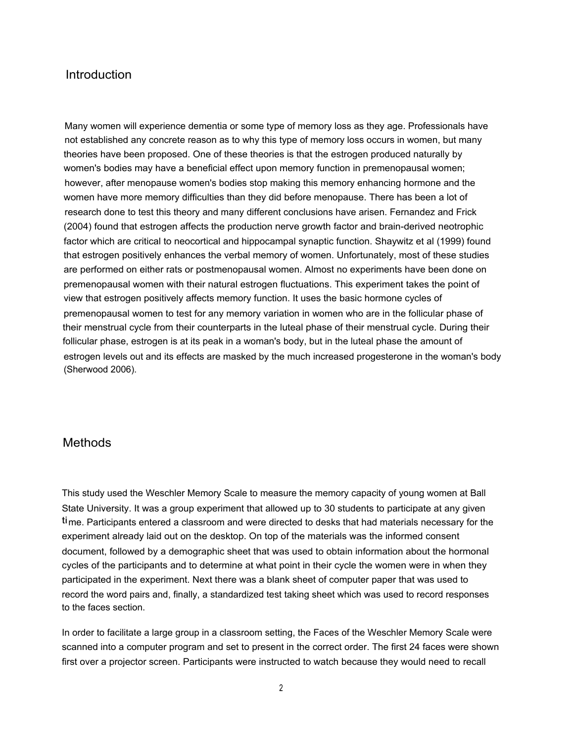### Introduction

Many women will experience dementia or some type of memory loss as they age. Professionals have not established any concrete reason as to why this type of memory loss occurs in women, but many theories have been proposed. One of these theories is that the estrogen produced naturally by women's bodies may have a beneficial effect upon memory function in premenopausal women; however, after menopause women's bodies stop making this memory enhancing hormone and the women have more memory difficulties than they did before menopause. There has been a lot of research done to test this theory and many different conclusions have arisen. Fernandez and Frick (2004) found that estrogen affects the production nerve growth factor and brain-derived neotrophic factor which are critical to neocortical and hippocampal synaptic function. Shaywitz et al (1999) found that estrogen positively enhances the verbal memory of women. Unfortunately, most of these studies are performed on either rats or postmenopausal women. Almost no experiments have been done on premenopausal women with their natural estrogen fluctuations. This experiment takes the point of view that estrogen positively affects memory function. It uses the basic hormone cycles of premenopausal women to test for any memory variation in women who are in the follicular phase of their menstrual cycle from their counterparts in the luteal phase of their menstrual cycle. During their follicular phase, estrogen is at its peak in a woman's body, but in the luteal phase the amount of estrogen levels out and its effects are masked by the much increased progesterone in the woman's body (Sherwood 2006).

### **Methods**

This study used the Weschler Memory Scale to measure the memory capacity of young women at Ball State University. It was a group experiment that allowed up to 30 students to participate at any given time. Participants entered a classroom and were directed to desks that had materials necessary for the experiment already laid out on the desktop. On top of the materials was the informed consent document, followed by a demographic sheet that was used to obtain information about the hormonal cycles of the participants and to determine at what point in their cycle the women were in when they participated in the experiment. Next there was a blank sheet of computer paper that was used to record the word pairs and, finally, a standardized test taking sheet which was used to record responses to the faces section.

In order to facilitate a large group in a classroom setting, the Faces of the Weschler Memory Scale were scanned into a computer program and set to present in the correct order. The first 24 faces were shown first over a projector screen. Participants were instructed to watch because they would need to recall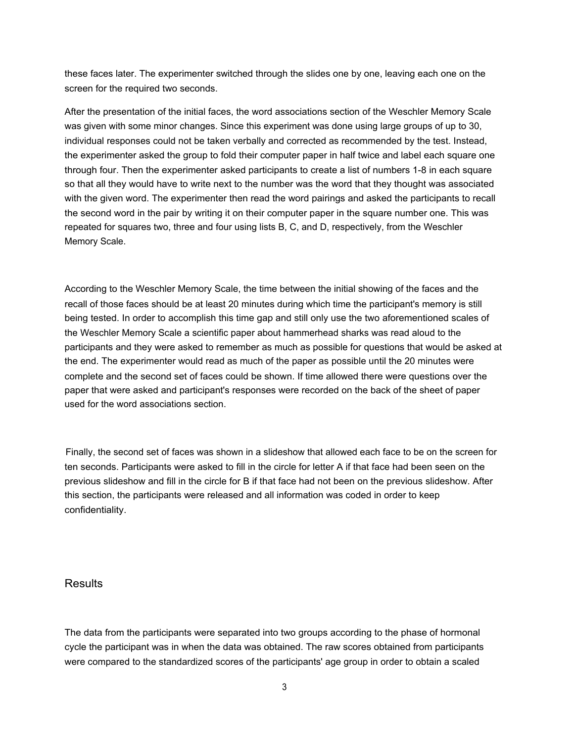these faces later. The experimenter switched through the slides one by one, leaving each one on the screen for the required two seconds.

After the presentation of the initial faces, the word associations section of the Weschler Memory Scale was given with some minor changes. Since this experiment was done using large groups of up to 30, individual responses could not be taken verbally and corrected as recommended by the test. Instead, the experimenter asked the group to fold their computer paper in half twice and label each square one through four. Then the experimenter asked participants to create a list of numbers 1-8 in each square so that all they would have to write next to the number was the word that they thought was associated with the given word. The experimenter then read the word pairings and asked the participants to recall the second word in the pair by writing it on their computer paper in the square number one. This was repeated for squares two, three and four using lists B, C, and D, respectively, from the Weschler Memory Scale.

According to the Weschler Memory Scale, the time between the initial showing of the faces and the recall of those faces should be at least 20 minutes during which time the participant's memory is still being tested. In order to accomplish this time gap and still only use the two aforementioned scales of the Weschler Memory Scale a scientific paper about hammerhead sharks was read aloud to the participants and they were asked to remember as much as possible for questions that would be asked at the end. The experimenter would read as much of the paper as possible until the 20 minutes were complete and the second set of faces could be shown. If time allowed there were questions over the paper that were asked and participant's responses were recorded on the back of the sheet of paper used for the word associations section.

Finally, the second set of faces was shown in a slideshow that allowed each face to be on the screen for ten seconds. Participants were asked to fill in the circle for letter A if that face had been seen on the previous slideshow and fill in the circle for B if that face had not been on the previous slideshow. After this section, the participants were released and all information was coded in order to keep confidentiality.

#### **Results**

The data from the participants were separated into two groups according to the phase of hormonal cycle the participant was in when the data was obtained. The raw scores obtained from participants were compared to the standardized scores of the participants' age group in order to obtain a scaled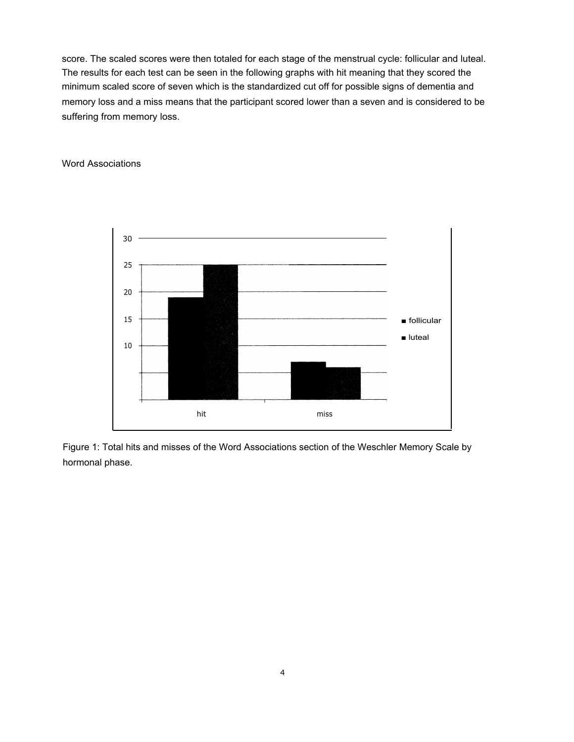score. The scaled scores were then totaled for each stage of the menstrual cycle: follicular and luteal. The results for each test can be seen in the following graphs with hit meaning that they scored the minimum scaled score of seven which is the standardized cut off for possible signs of dementia and memory loss and a miss means that the participant scored lower than a seven and is considered to be suffering from memory loss.

#### Word Associations



Figure 1: Total hits and misses of the Word Associations section of the Weschler Memory Scale by hormonal phase.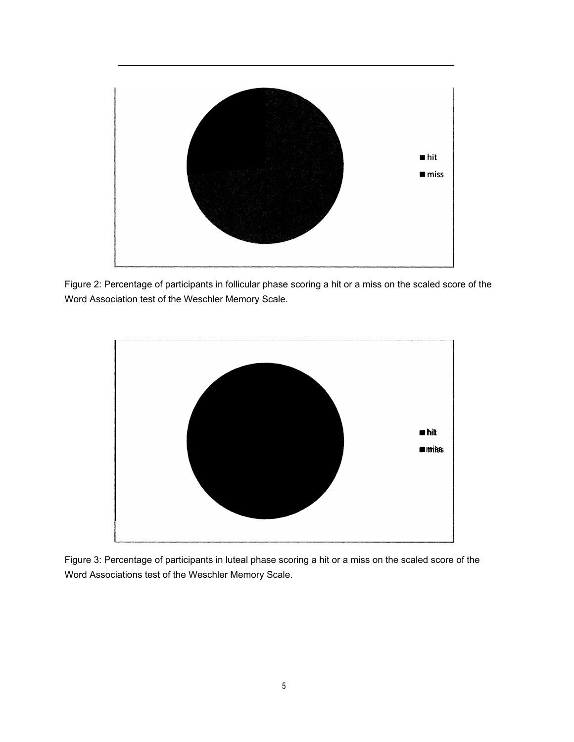

Figure 2: Percentage of participants in follicular phase scoring a hit or a miss on the scaled score of the Word Association test of the Weschler Memory Scale.



Figure 3: Percentage of participants in luteal phase scoring a hit or a miss on the scaled score of the Word Associations test of the Weschler Memory Scale.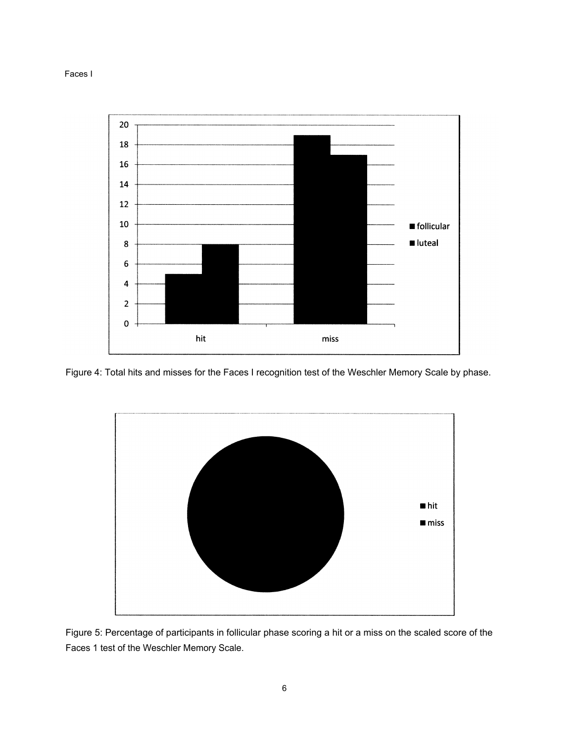



Figure 4: Total hits and misses for the Faces I recognition test of the Weschler Memory Scale by phase.



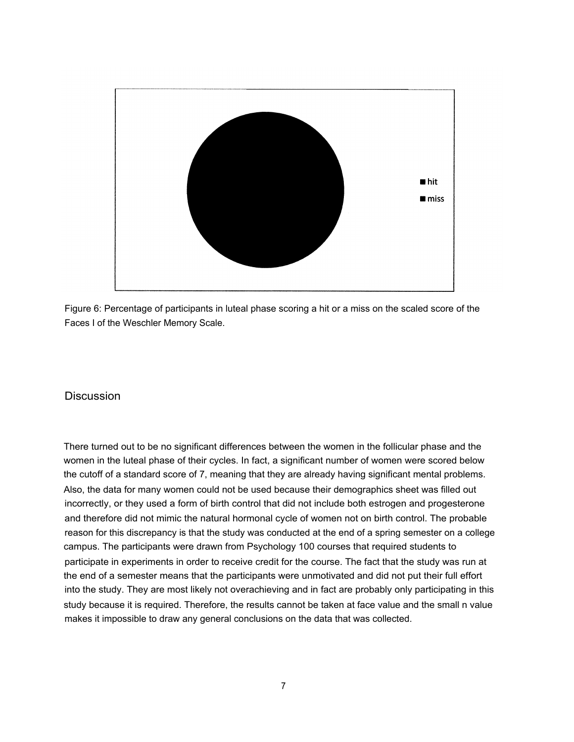

Figure 6: Percentage of participants in luteal phase scoring a hit or a miss on the scaled score of the Faces I of the Weschler Memory Scale.

### Discussion

There turned out to be no significant differences between the women in the follicular phase and the women in the luteal phase of their cycles. In fact, a significant number of women were scored below the cutoff of a standard score of 7, meaning that they are already having significant mental problems. Also, the data for many women could not be used because their demographics sheet was filled out incorrectly, or they used a form of birth control that did not include both estrogen and progesterone and therefore did not mimic the natural hormonal cycle of women not on birth control. The probable reason for this discrepancy is that the study was conducted at the end of a spring semester on a college campus. The participants were drawn from Psychology 100 courses that required students to participate in experiments in order to receive credit for the course. The fact that the study was run at the end of a semester means that the participants were unmotivated and did not put their full effort into the study. They are most likely not overachieving and in fact are probably only participating in this study because it is required. Therefore, the results cannot be taken at face value and the small n value makes it impossible to draw any general conclusions on the data that was collected.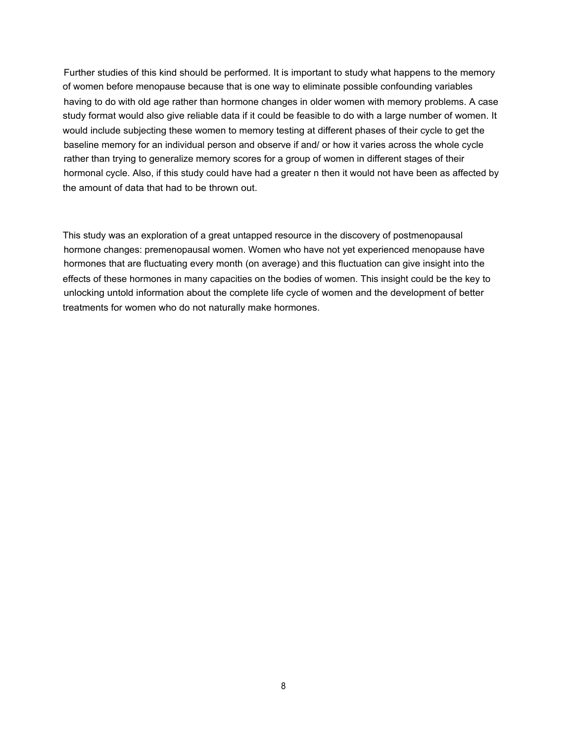Further studies of this kind should be performed. It is important to study what happens to the memory of women before menopause because that is one way to eliminate possible confounding variables having to do with old age rather than hormone changes in older women with memory problems. A case study format would also give reliable data if it could be feasible to do with a large number of women. It would include subjecting these women to memory testing at different phases of their cycle to get the baseline memory for an individual person and observe if and/ or how it varies across the whole cycle rather than trying to generalize memory scores for a group of women in different stages of their hormonal cycle. Also, if this study could have had a greater n then it would not have been as affected by the amount of data that had to be thrown out.

This study was an exploration of a great untapped resource in the discovery of postmenopausal hormone changes: premenopausal women. Women who have not yet experienced menopause have hormones that are fluctuating every month (on average) and this fluctuation can give insight into the effects of these hormones in many capacities on the bodies of women. This insight could be the key to unlocking untold information about the complete life cycle of women and the development of better treatments for women who do not naturally make hormones.